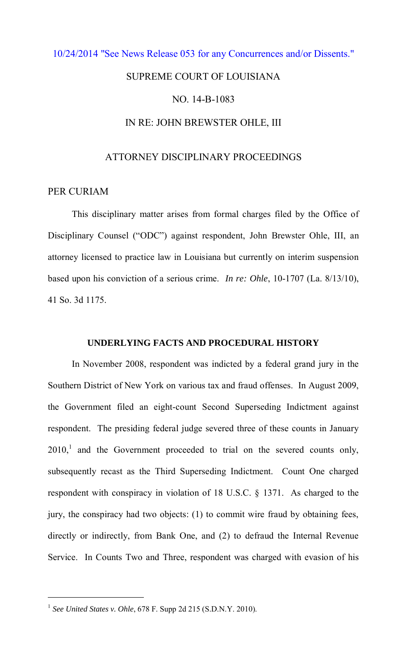# [10/24/2014 "See News Release 053 for any Concurrences and/or Dissents."](http://www.lasc.org/Actions?p=2014-053)  SUPREME COURT OF LOUISIANA NO. 14-B-1083 IN RE: JOHN BREWSTER OHLE, III

## ATTORNEY DISCIPLINARY PROCEEDINGS

### PER CURIAM

 This disciplinary matter arises from formal charges filed by the Office of Disciplinary Counsel ("ODC") against respondent, John Brewster Ohle, III, an attorney licensed to practice law in Louisiana but currently on interim suspension based upon his conviction of a serious crime. *In re: Ohle*, 10-1707 (La. 8/13/10), 41 So. 3d 1175.

#### **UNDERLYING FACTS AND PROCEDURAL HISTORY**

In November 2008, respondent was indicted by a federal grand jury in the Southern District of New York on various tax and fraud offenses. In August 2009, the Government filed an eight-count Second Superseding Indictment against respondent. The presiding federal judge severed three of these counts in January  $2010$ ,<sup>1</sup> and the Government proceeded to trial on the severed counts only, subsequently recast as the Third Superseding Indictment. Count One charged respondent with conspiracy in violation of 18 U.S.C. § 1371. As charged to the jury, the conspiracy had two objects: (1) to commit wire fraud by obtaining fees, directly or indirectly, from Bank One, and (2) to defraud the Internal Revenue Service. In Counts Two and Three, respondent was charged with evasion of his

 $\overline{a}$ 

<sup>&</sup>lt;sup>1</sup> See United States v. Ohle, 678 F. Supp 2d 215 (S.D.N.Y. 2010).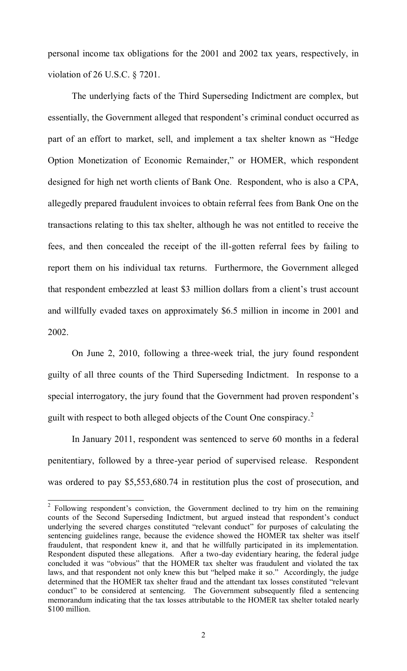personal income tax obligations for the 2001 and 2002 tax years, respectively, in violation of 26 U.S.C. § 7201.

The underlying facts of the Third Superseding Indictment are complex, but essentially, the Government alleged that respondent's criminal conduct occurred as part of an effort to market, sell, and implement a tax shelter known as "Hedge Option Monetization of Economic Remainder," or HOMER, which respondent designed for high net worth clients of Bank One. Respondent, who is also a CPA, allegedly prepared fraudulent invoices to obtain referral fees from Bank One on the transactions relating to this tax shelter, although he was not entitled to receive the fees, and then concealed the receipt of the ill-gotten referral fees by failing to report them on his individual tax returns. Furthermore, the Government alleged that respondent embezzled at least \$3 million dollars from a client's trust account and willfully evaded taxes on approximately \$6.5 million in income in 2001 and 2002.

On June 2, 2010, following a three-week trial, the jury found respondent guilty of all three counts of the Third Superseding Indictment. In response to a special interrogatory, the jury found that the Government had proven respondent's guilt with respect to both alleged objects of the Count One conspiracy.<sup>2</sup>

In January 2011, respondent was sentenced to serve 60 months in a federal penitentiary, followed by a three-year period of supervised release. Respondent was ordered to pay \$5,553,680.74 in restitution plus the cost of prosecution, and

<sup>&</sup>lt;sup>2</sup> Following respondent's conviction, the Government declined to try him on the remaining counts of the Second Superseding Indictment, but argued instead that respondent's conduct underlying the severed charges constituted "relevant conduct" for purposes of calculating the sentencing guidelines range, because the evidence showed the HOMER tax shelter was itself fraudulent, that respondent knew it, and that he willfully participated in its implementation. Respondent disputed these allegations. After a two-day evidentiary hearing, the federal judge concluded it was "obvious" that the HOMER tax shelter was fraudulent and violated the tax laws, and that respondent not only knew this but "helped make it so." Accordingly, the judge determined that the HOMER tax shelter fraud and the attendant tax losses constituted "relevant conduct" to be considered at sentencing. The Government subsequently filed a sentencing memorandum indicating that the tax losses attributable to the HOMER tax shelter totaled nearly \$100 million.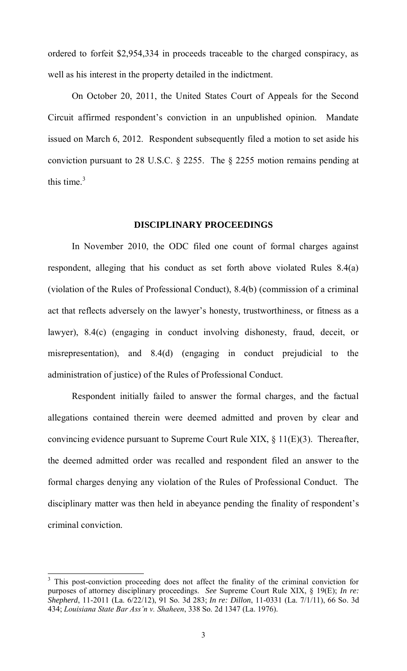ordered to forfeit \$2,954,334 in proceeds traceable to the charged conspiracy, as well as his interest in the property detailed in the indictment.

On October 20, 2011, the United States Court of Appeals for the Second Circuit affirmed respondent's conviction in an unpublished opinion. Mandate issued on March 6, 2012. Respondent subsequently filed a motion to set aside his conviction pursuant to 28 U.S.C. § 2255. The § 2255 motion remains pending at this time. $3$ 

#### **DISCIPLINARY PROCEEDINGS**

 In November 2010, the ODC filed one count of formal charges against respondent, alleging that his conduct as set forth above violated Rules 8.4(a) (violation of the Rules of Professional Conduct), 8.4(b) (commission of a criminal act that reflects adversely on the lawyer's honesty, trustworthiness, or fitness as a lawyer), 8.4(c) (engaging in conduct involving dishonesty, fraud, deceit, or misrepresentation), and 8.4(d) (engaging in conduct prejudicial to the administration of justice) of the Rules of Professional Conduct.

 Respondent initially failed to answer the formal charges, and the factual allegations contained therein were deemed admitted and proven by clear and convincing evidence pursuant to Supreme Court Rule XIX, § 11(E)(3). Thereafter, the deemed admitted order was recalled and respondent filed an answer to the formal charges denying any violation of the Rules of Professional Conduct. The disciplinary matter was then held in abeyance pending the finality of respondent's criminal conviction.

<sup>&</sup>lt;sup>3</sup> This post-conviction proceeding does not affect the finality of the criminal conviction for purposes of attorney disciplinary proceedings. *See* Supreme Court Rule XIX, § 19(E); *In re: Shepherd*, 11-2011 (La. 6/22/12), 91 So. 3d 283; *In re: Dillon*, 11-0331 (La. 7/1/11), 66 So. 3d 434; *Louisiana State Bar Ass'n v. Shaheen*, 338 So. 2d 1347 (La. 1976).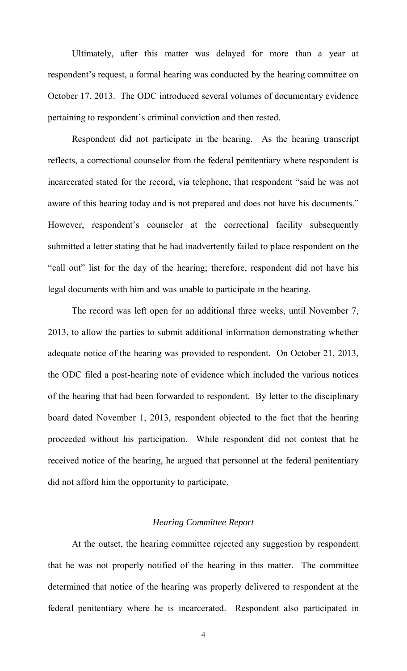Ultimately, after this matter was delayed for more than a year at respondent's request, a formal hearing was conducted by the hearing committee on October 17, 2013. The ODC introduced several volumes of documentary evidence pertaining to respondent's criminal conviction and then rested.

Respondent did not participate in the hearing. As the hearing transcript reflects, a correctional counselor from the federal penitentiary where respondent is incarcerated stated for the record, via telephone, that respondent "said he was not aware of this hearing today and is not prepared and does not have his documents." However, respondent's counselor at the correctional facility subsequently submitted a letter stating that he had inadvertently failed to place respondent on the "call out" list for the day of the hearing; therefore, respondent did not have his legal documents with him and was unable to participate in the hearing.

The record was left open for an additional three weeks, until November 7, 2013, to allow the parties to submit additional information demonstrating whether adequate notice of the hearing was provided to respondent. On October 21, 2013, the ODC filed a post-hearing note of evidence which included the various notices of the hearing that had been forwarded to respondent. By letter to the disciplinary board dated November 1, 2013, respondent objected to the fact that the hearing proceeded without his participation. While respondent did not contest that he received notice of the hearing, he argued that personnel at the federal penitentiary did not afford him the opportunity to participate.

#### *Hearing Committee Report*

 At the outset, the hearing committee rejected any suggestion by respondent that he was not properly notified of the hearing in this matter. The committee determined that notice of the hearing was properly delivered to respondent at the federal penitentiary where he is incarcerated. Respondent also participated in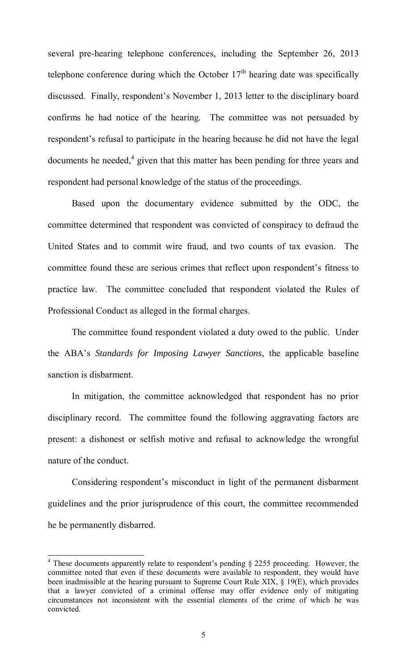several pre-hearing telephone conferences, including the September 26, 2013 telephone conference during which the October  $17<sup>th</sup>$  hearing date was specifically discussed. Finally, respondent's November 1, 2013 letter to the disciplinary board confirms he had notice of the hearing. The committee was not persuaded by respondent's refusal to participate in the hearing because he did not have the legal documents he needed, $4$  given that this matter has been pending for three years and respondent had personal knowledge of the status of the proceedings.

Based upon the documentary evidence submitted by the ODC, the committee determined that respondent was convicted of conspiracy to defraud the United States and to commit wire fraud, and two counts of tax evasion. The committee found these are serious crimes that reflect upon respondent's fitness to practice law. The committee concluded that respondent violated the Rules of Professional Conduct as alleged in the formal charges.

 The committee found respondent violated a duty owed to the public. Under the ABA's *Standards for Imposing Lawyer Sanctions*, the applicable baseline sanction is disbarment.

 In mitigation, the committee acknowledged that respondent has no prior disciplinary record. The committee found the following aggravating factors are present: a dishonest or selfish motive and refusal to acknowledge the wrongful nature of the conduct.

 Considering respondent's misconduct in light of the permanent disbarment guidelines and the prior jurisprudence of this court, the committee recommended he be permanently disbarred.

<sup>&</sup>lt;sup>4</sup> These documents apparently relate to respondent's pending § 2255 proceeding. However, the committee noted that even if these documents were available to respondent, they would have been inadmissible at the hearing pursuant to Supreme Court Rule XIX, § 19(E), which provides that a lawyer convicted of a criminal offense may offer evidence only of mitigating circumstances not inconsistent with the essential elements of the crime of which he was convicted.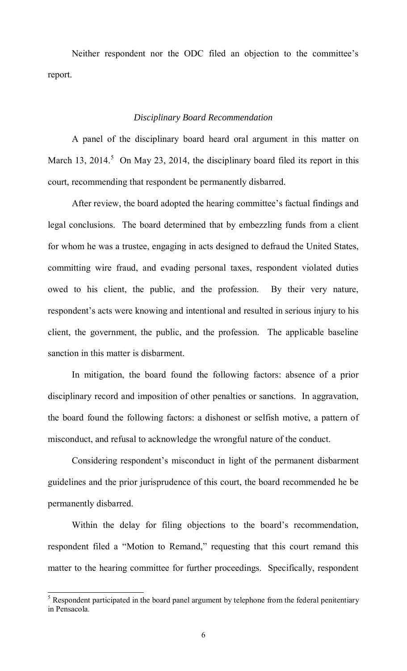Neither respondent nor the ODC filed an objection to the committee's report.

#### *Disciplinary Board Recommendation*

A panel of the disciplinary board heard oral argument in this matter on March 13, 2014.<sup>5</sup> On May 23, 2014, the disciplinary board filed its report in this court, recommending that respondent be permanently disbarred.

 After review, the board adopted the hearing committee's factual findings and legal conclusions. The board determined that by embezzling funds from a client for whom he was a trustee, engaging in acts designed to defraud the United States, committing wire fraud, and evading personal taxes, respondent violated duties owed to his client, the public, and the profession. By their very nature, respondent's acts were knowing and intentional and resulted in serious injury to his client, the government, the public, and the profession. The applicable baseline sanction in this matter is disbarment.

 In mitigation, the board found the following factors: absence of a prior disciplinary record and imposition of other penalties or sanctions. In aggravation, the board found the following factors: a dishonest or selfish motive, a pattern of misconduct, and refusal to acknowledge the wrongful nature of the conduct.

 Considering respondent's misconduct in light of the permanent disbarment guidelines and the prior jurisprudence of this court, the board recommended he be permanently disbarred.

 Within the delay for filing objections to the board's recommendation, respondent filed a "Motion to Remand," requesting that this court remand this matter to the hearing committee for further proceedings. Specifically, respondent

<sup>&</sup>lt;sup>5</sup> Respondent participated in the board panel argument by telephone from the federal penitentiary in Pensacola.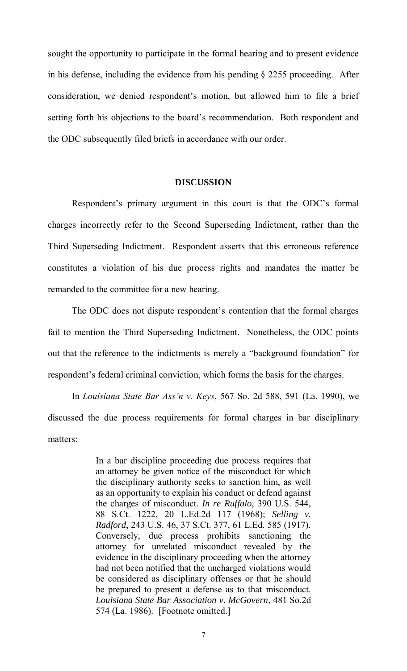sought the opportunity to participate in the formal hearing and to present evidence in his defense, including the evidence from his pending § 2255 proceeding. After consideration, we denied respondent's motion, but allowed him to file a brief setting forth his objections to the board's recommendation. Both respondent and the ODC subsequently filed briefs in accordance with our order.

#### **DISCUSSION**

 Respondent's primary argument in this court is that the ODC's formal charges incorrectly refer to the Second Superseding Indictment, rather than the Third Superseding Indictment. Respondent asserts that this erroneous reference constitutes a violation of his due process rights and mandates the matter be remanded to the committee for a new hearing.

 The ODC does not dispute respondent's contention that the formal charges fail to mention the Third Superseding Indictment. Nonetheless, the ODC points out that the reference to the indictments is merely a "background foundation" for respondent's federal criminal conviction, which forms the basis for the charges.

 In *Louisiana State Bar Ass'n v. Keys*, 567 So. 2d 588, 591 (La. 1990), we discussed the due process requirements for formal charges in bar disciplinary matters:

> In a bar discipline proceeding due process requires that an attorney be given notice of the misconduct for which the disciplinary authority seeks to sanction him, as well as an opportunity to explain his conduct or defend against the charges of misconduct. *In re Ruffalo*, 390 U.S. 544, 88 S.Ct. 1222, 20 L.Ed.2d 117 (1968); *Selling v. Radford*, 243 U.S. 46, 37 S.Ct. 377, 61 L.Ed. 585 (1917). Conversely, due process prohibits sanctioning the attorney for unrelated misconduct revealed by the evidence in the disciplinary proceeding when the attorney had not been notified that the uncharged violations would be considered as disciplinary offenses or that he should be prepared to present a defense as to that misconduct. *Louisiana State Bar Association v. McGovern*, 481 So.2d 574 (La. 1986). [Footnote omitted.]

> > 7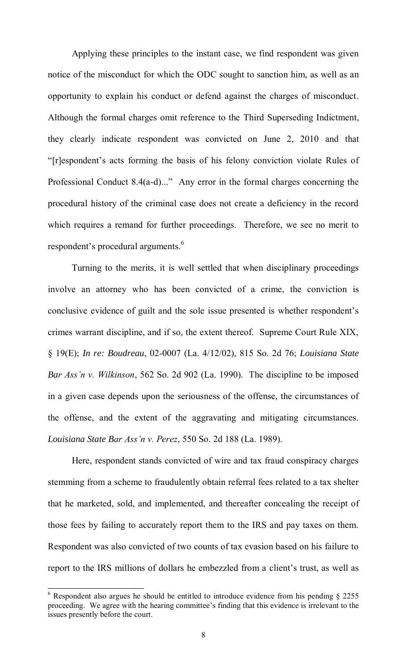Applying these principles to the instant case, we find respondent was given notice of the misconduct for which the ODC sought to sanction him, as well as an opportunity to explain his conduct or defend against the charges of misconduct. Although the formal charges omit reference to the Third Superseding Indictment, they clearly indicate respondent was convicted on June 2, 2010 and that "[r]espondent's acts forming the basis of his felony conviction violate Rules of Professional Conduct 8.4(a-d)..." Any error in the formal charges concerning the procedural history of the criminal case does not create a deficiency in the record which requires a remand for further proceedings. Therefore, we see no merit to respondent's procedural arguments.<sup>6</sup>

Turning to the merits, it is well settled that when disciplinary proceedings involve an attorney who has been convicted of a crime, the conviction is conclusive evidence of guilt and the sole issue presented is whether respondent's crimes warrant discipline, and if so, the extent thereof. Supreme Court Rule XIX, § 19(E); *In re: Boudreau*, 02-0007 (La. 4/12/02), 815 So. 2d 76; *Louisiana State Bar Ass'n v. Wilkinson*, 562 So. 2d 902 (La. 1990). The discipline to be imposed in a given case depends upon the seriousness of the offense, the circumstances of the offense, and the extent of the aggravating and mitigating circumstances. *Louisiana State Bar Ass'n v. Perez*, 550 So. 2d 188 (La. 1989).

 Here, respondent stands convicted of wire and tax fraud conspiracy charges stemming from a scheme to fraudulently obtain referral fees related to a tax shelter that he marketed, sold, and implemented, and thereafter concealing the receipt of those fees by failing to accurately report them to the IRS and pay taxes on them. Respondent was also convicted of two counts of tax evasion based on his failure to report to the IRS millions of dollars he embezzled from a client's trust, as well as

<sup>&</sup>lt;sup>6</sup> Respondent also argues he should be entitled to introduce evidence from his pending § 2255 proceeding. We agree with the hearing committee's finding that this evidence is irrelevant to the issues presently before the court.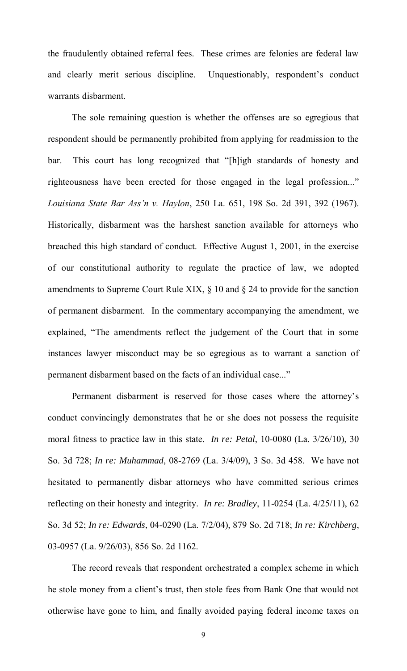the fraudulently obtained referral fees. These crimes are felonies are federal law and clearly merit serious discipline. Unquestionably, respondent's conduct warrants disbarment.

 The sole remaining question is whether the offenses are so egregious that respondent should be permanently prohibited from applying for readmission to the bar. This court has long recognized that "[h]igh standards of honesty and righteousness have been erected for those engaged in the legal profession..." *Louisiana State Bar Ass'n v. Haylon*, 250 La. 651, 198 So. 2d 391, 392 (1967). Historically, disbarment was the harshest sanction available for attorneys who breached this high standard of conduct. Effective August 1, 2001, in the exercise of our constitutional authority to regulate the practice of law, we adopted amendments to Supreme Court Rule XIX, § 10 and § 24 to provide for the sanction of permanent disbarment. In the commentary accompanying the amendment, we explained, "The amendments reflect the judgement of the Court that in some instances lawyer misconduct may be so egregious as to warrant a sanction of permanent disbarment based on the facts of an individual case..."

Permanent disbarment is reserved for those cases where the attorney's conduct convincingly demonstrates that he or she does not possess the requisite moral fitness to practice law in this state. *In re: Petal*, 10-0080 (La. 3/26/10), 30 So. 3d 728; *In re: Muhammad*, 08-2769 (La. 3/4/09), 3 So. 3d 458. We have not hesitated to permanently disbar attorneys who have committed serious crimes reflecting on their honesty and integrity. *In re: Bradley*, 11-0254 (La. 4/25/11), 62 So. 3d 52; *In re: Edwards*, 04-0290 (La. 7/2/04), 879 So. 2d 718; *In re: Kirchberg*, 03-0957 (La. 9/26/03), 856 So. 2d 1162.

The record reveals that respondent orchestrated a complex scheme in which he stole money from a client's trust, then stole fees from Bank One that would not otherwise have gone to him, and finally avoided paying federal income taxes on